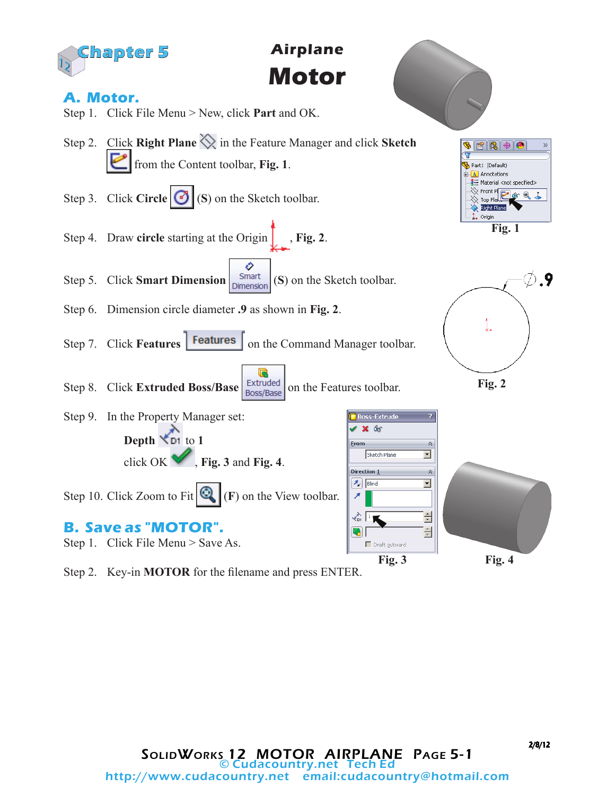

Step 2. Key-in **MOTOR** for the filename and press ENTER.